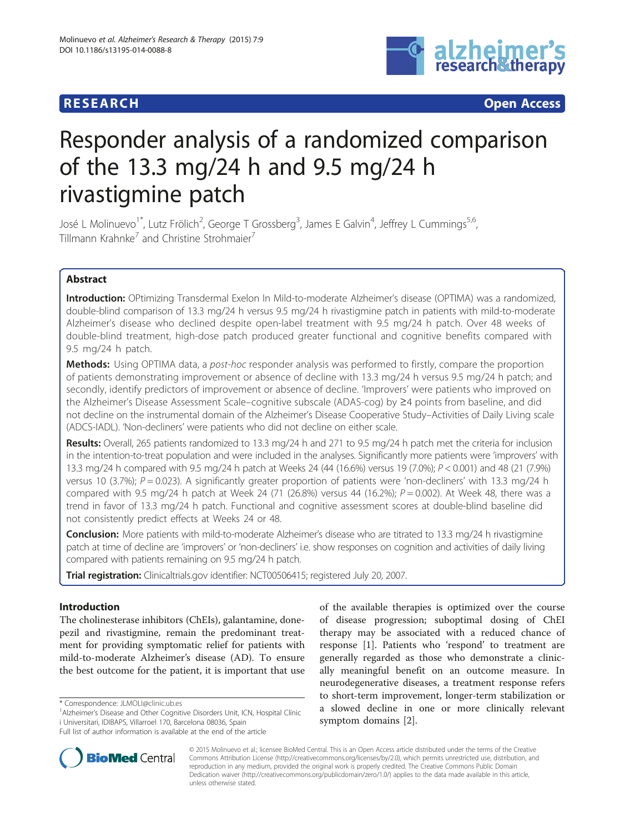



# Responder analysis of a randomized comparison of the 13.3 mg/24 h and 9.5 mg/24 h rivastigmine patch

José L Molinuevo<sup>1\*</sup>, Lutz Frölich<sup>2</sup>, George T Grossberg<sup>3</sup>, James E Galvin<sup>4</sup>, Jeffrey L Cummings<sup>5,6</sup>, Tillmann Krahnke<sup>7</sup> and Christine Strohmaier<sup>7</sup>

# Abstract

Introduction: OPtimizing Transdermal Exelon In Mild-to-moderate Alzheimer's disease (OPTIMA) was a randomized, double-blind comparison of 13.3 mg/24 h versus 9.5 mg/24 h rivastigmine patch in patients with mild-to-moderate Alzheimer's disease who declined despite open-label treatment with 9.5 mg/24 h patch. Over 48 weeks of double-blind treatment, high-dose patch produced greater functional and cognitive benefits compared with 9.5 mg/24 h patch.

Methods: Using OPTIMA data, a post-hoc responder analysis was performed to firstly, compare the proportion of patients demonstrating improvement or absence of decline with 13.3 mg/24 h versus 9.5 mg/24 h patch; and secondly, identify predictors of improvement or absence of decline. 'Improvers' were patients who improved on the Alzheimer's Disease Assessment Scale–cognitive subscale (ADAS-cog) by ≥4 points from baseline, and did not decline on the instrumental domain of the Alzheimer's Disease Cooperative Study–Activities of Daily Living scale (ADCS-IADL). 'Non-decliners' were patients who did not decline on either scale.

Results: Overall, 265 patients randomized to 13.3 mg/24 h and 271 to 9.5 mg/24 h patch met the criteria for inclusion in the intention-to-treat population and were included in the analyses. Significantly more patients were 'improvers' with 13.3 mg/24 h compared with 9.5 mg/24 h patch at Weeks 24 (44 (16.6%) versus 19 (7.0%); P < 0.001) and 48 (21 (7.9%) versus 10 (3.7%);  $P = 0.023$ ). A significantly greater proportion of patients were 'non-decliners' with 13.3 mg/24 h compared with 9.5 mg/24 h patch at Week 24 (71 (26.8%) versus 44 (16.2%);  $P = 0.002$ ). At Week 48, there was a trend in favor of 13.3 mg/24 h patch. Functional and cognitive assessment scores at double-blind baseline did not consistently predict effects at Weeks 24 or 48.

Conclusion: More patients with mild-to-moderate Alzheimer's disease who are titrated to 13.3 mg/24 h rivastigmine patch at time of decline are 'improvers' or 'non-decliners' i.e. show responses on cognition and activities of daily living compared with patients remaining on 9.5 mg/24 h patch.

Trial registration: Clinicaltrials.gov identifier: [NCT00506415;](https://clinicaltrials.gov/ct2/show/NCT00506415) registered July 20, 2007.

# Introduction

The cholinesterase inhibitors (ChEIs), galantamine, donepezil and rivastigmine, remain the predominant treatment for providing symptomatic relief for patients with mild-to-moderate Alzheimer's disease (AD). To ensure the best outcome for the patient, it is important that use

Full list of author information is available at the end of the article





© 2015 Molinuevo et al.; licensee BioMed Central. This is an Open Access article distributed under the terms of the Creative Commons Attribution License [\(http://creativecommons.org/licenses/by/2.0\)](http://creativecommons.org/licenses/by/2.0), which permits unrestricted use, distribution, and reproduction in any medium, provided the original work is properly credited. The Creative Commons Public Domain Dedication waiver [\(http://creativecommons.org/publicdomain/zero/1.0/](http://creativecommons.org/publicdomain/zero/1.0/)) applies to the data made available in this article, unless otherwise stated.

<sup>\*</sup> Correspondence: [JLMOLI@clinic.ub.es](mailto:JLMOLI@clinic.ub.es) <sup>1</sup>

<sup>&</sup>lt;sup>1</sup> Alzheimer's Disease and Other Cognitive Disorders Unit, ICN, Hospital Clínic i Universitari, IDIBAPS, Villarroel 170, Barcelona 08036, Spain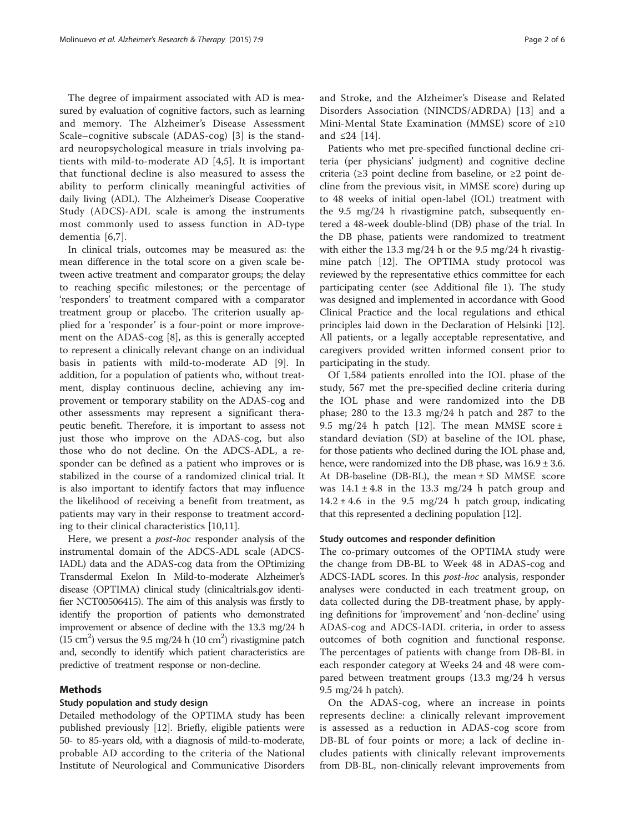The degree of impairment associated with AD is measured by evaluation of cognitive factors, such as learning and memory. The Alzheimer's Disease Assessment Scale–cognitive subscale (ADAS-cog) [\[3](#page-5-0)] is the standard neuropsychological measure in trials involving patients with mild-to-moderate AD [[4,5](#page-5-0)]. It is important that functional decline is also measured to assess the ability to perform clinically meaningful activities of daily living (ADL). The Alzheimer's Disease Cooperative Study (ADCS)-ADL scale is among the instruments most commonly used to assess function in AD-type dementia [[6,7](#page-5-0)].

In clinical trials, outcomes may be measured as: the mean difference in the total score on a given scale between active treatment and comparator groups; the delay to reaching specific milestones; or the percentage of 'responders' to treatment compared with a comparator treatment group or placebo. The criterion usually applied for a 'responder' is a four-point or more improvement on the ADAS-cog [\[8\]](#page-5-0), as this is generally accepted to represent a clinically relevant change on an individual basis in patients with mild-to-moderate AD [[9\]](#page-5-0). In addition, for a population of patients who, without treatment, display continuous decline, achieving any improvement or temporary stability on the ADAS-cog and other assessments may represent a significant therapeutic benefit. Therefore, it is important to assess not just those who improve on the ADAS-cog, but also those who do not decline. On the ADCS-ADL, a responder can be defined as a patient who improves or is stabilized in the course of a randomized clinical trial. It is also important to identify factors that may influence the likelihood of receiving a benefit from treatment, as patients may vary in their response to treatment according to their clinical characteristics [[10](#page-5-0),[11](#page-5-0)].

Here, we present a post-hoc responder analysis of the instrumental domain of the ADCS-ADL scale (ADCS-IADL) data and the ADAS-cog data from the OPtimizing Transdermal Exelon In Mild-to-moderate Alzheimer's disease (OPTIMA) clinical study (clinicaltrials.gov identifier NCT00506415). The aim of this analysis was firstly to identify the proportion of patients who demonstrated improvement or absence of decline with the 13.3 mg/24 h (15 cm<sup>2</sup>) versus the 9.5 mg/24 h (10 cm<sup>2</sup>) rivastigmine patch and, secondly to identify which patient characteristics are predictive of treatment response or non-decline.

### Methods

#### Study population and study design

Detailed methodology of the OPTIMA study has been published previously [\[12](#page-5-0)]. Briefly, eligible patients were 50- to 85-years old, with a diagnosis of mild-to-moderate, probable AD according to the criteria of the National Institute of Neurological and Communicative Disorders

and Stroke, and the Alzheimer's Disease and Related Disorders Association (NINCDS/ADRDA) [[13\]](#page-5-0) and a Mini-Mental State Examination (MMSE) score of ≥10 and ≤24 [[14](#page-5-0)].

Patients who met pre-specified functional decline criteria (per physicians' judgment) and cognitive decline criteria ( $\geq$ 3 point decline from baseline, or  $\geq$ 2 point decline from the previous visit, in MMSE score) during up to 48 weeks of initial open-label (IOL) treatment with the 9.5 mg/24 h rivastigmine patch, subsequently entered a 48-week double-blind (DB) phase of the trial. In the DB phase, patients were randomized to treatment with either the 13.3 mg/24 h or the 9.5 mg/24 h rivastigmine patch [[12\]](#page-5-0). The OPTIMA study protocol was reviewed by the representative ethics committee for each participating center (see Additional file [1\)](#page-5-0). The study was designed and implemented in accordance with Good Clinical Practice and the local regulations and ethical principles laid down in the Declaration of Helsinki [\[12](#page-5-0)]. All patients, or a legally acceptable representative, and caregivers provided written informed consent prior to participating in the study.

Of 1,584 patients enrolled into the IOL phase of the study, 567 met the pre-specified decline criteria during the IOL phase and were randomized into the DB phase; 280 to the 13.3 mg/24 h patch and 287 to the 9.5 mg/24 h patch [\[12](#page-5-0)]. The mean MMSE score  $\pm$ standard deviation (SD) at baseline of the IOL phase, for those patients who declined during the IOL phase and, hence, were randomized into the DB phase, was  $16.9 \pm 3.6$ . At DB-baseline (DB-BL), the mean  $\pm$  SD MMSE score was  $14.1 \pm 4.8$  in the 13.3 mg/24 h patch group and  $14.2 \pm 4.6$  in the 9.5 mg/24 h patch group, indicating that this represented a declining population [\[12\]](#page-5-0).

#### Study outcomes and responder definition

The co-primary outcomes of the OPTIMA study were the change from DB-BL to Week 48 in ADAS-cog and ADCS-IADL scores. In this *post-hoc* analysis, responder analyses were conducted in each treatment group, on data collected during the DB-treatment phase, by applying definitions for 'improvement' and 'non-decline' using ADAS-cog and ADCS-IADL criteria, in order to assess outcomes of both cognition and functional response. The percentages of patients with change from DB-BL in each responder category at Weeks 24 and 48 were compared between treatment groups (13.3 mg/24 h versus 9.5 mg/24 h patch).

On the ADAS-cog, where an increase in points represents decline: a clinically relevant improvement is assessed as a reduction in ADAS-cog score from DB-BL of four points or more; a lack of decline includes patients with clinically relevant improvements from DB-BL, non-clinically relevant improvements from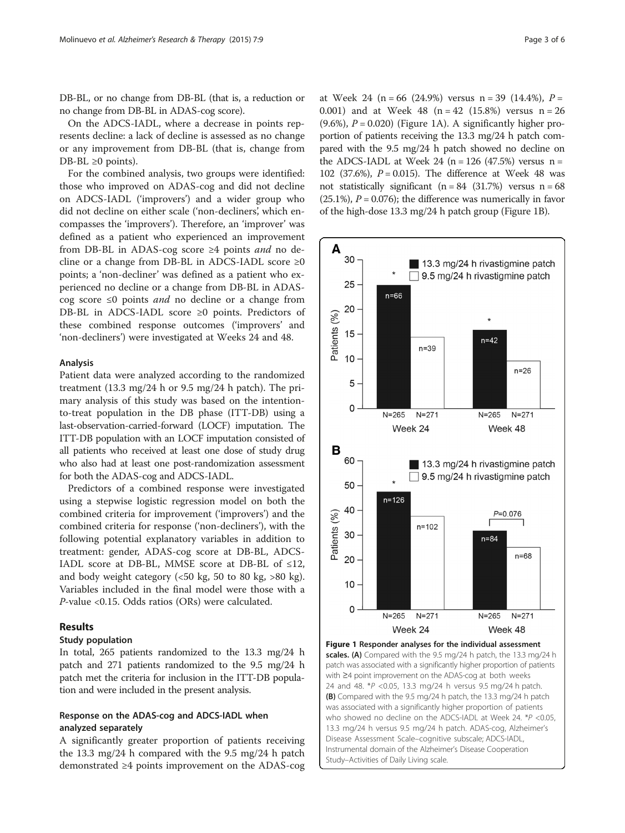DB-BL, or no change from DB-BL (that is, a reduction or no change from DB-BL in ADAS-cog score).

On the ADCS-IADL, where a decrease in points represents decline: a lack of decline is assessed as no change or any improvement from DB-BL (that is, change from DB-BL  $\geq 0$  points).

For the combined analysis, two groups were identified: those who improved on ADAS-cog and did not decline on ADCS-IADL ('improvers') and a wider group who did not decline on either scale ('non-decliners', which encompasses the 'improvers'). Therefore, an 'improver' was defined as a patient who experienced an improvement from DB-BL in ADAS-cog score ≥4 points and no decline or a change from DB-BL in ADCS-IADL score ≥0 points; a 'non-decliner' was defined as a patient who experienced no decline or a change from DB-BL in ADAScog score ≤0 points and no decline or a change from DB-BL in ADCS-IADL score ≥0 points. Predictors of these combined response outcomes ('improvers' and 'non-decliners') were investigated at Weeks 24 and 48.

#### Analysis

Patient data were analyzed according to the randomized treatment (13.3 mg/24 h or 9.5 mg/24 h patch). The primary analysis of this study was based on the intentionto-treat population in the DB phase (ITT-DB) using a last-observation-carried-forward (LOCF) imputation. The ITT-DB population with an LOCF imputation consisted of all patients who received at least one dose of study drug who also had at least one post-randomization assessment for both the ADAS-cog and ADCS-IADL.

Predictors of a combined response were investigated using a stepwise logistic regression model on both the combined criteria for improvement ('improvers') and the combined criteria for response ('non-decliners'), with the following potential explanatory variables in addition to treatment: gender, ADAS-cog score at DB-BL, ADCS-IADL score at DB-BL, MMSE score at DB-BL of  $\leq 12$ , and body weight category (<50 kg, 50 to 80 kg, >80 kg). Variables included in the final model were those with a P-value <0.15. Odds ratios (ORs) were calculated.

## Results

#### Study population

In total, 265 patients randomized to the 13.3 mg/24 h patch and 271 patients randomized to the 9.5 mg/24 h patch met the criteria for inclusion in the ITT-DB population and were included in the present analysis.

## Response on the ADAS-cog and ADCS-IADL when analyzed separately

A significantly greater proportion of patients receiving the 13.3 mg/24 h compared with the 9.5 mg/24 h patch demonstrated ≥4 points improvement on the ADAS-cog

at Week 24 (n = 66 (24.9%) versus n = 39 (14.4%),  $P =$ 0.001) and at Week 48 ( $n = 42$  (15.8%) versus  $n = 26$ (9.6%),  $P = 0.020$ ) (Figure 1A). A significantly higher proportion of patients receiving the 13.3 mg/24 h patch compared with the 9.5 mg/24 h patch showed no decline on the ADCS-IADL at Week 24 ( $n = 126$  (47.5%) versus  $n =$ 102 (37.6%),  $P = 0.015$ ). The difference at Week 48 was not statistically significant ( $n = 84$  (31.7%) versus  $n = 68$ 

 $(25.1\%)$ ,  $P = 0.076$ ); the difference was numerically in favor of the high-dose 13.3 mg/24 h patch group (Figure 1B).



Figure 1 Responder analyses for the individual assessment scales. (A) Compared with the 9.5 mg/24 h patch, the 13.3 mg/24 h patch was associated with a significantly higher proportion of patients with ≥4 point improvement on the ADAS-cog at both weeks 24 and 48. \*P <0.05, 13.3 mg/24 h versus 9.5 mg/24 h patch. (B) Compared with the 9.5 mg/24 h patch, the 13.3 mg/24 h patch was associated with a significantly higher proportion of patients who showed no decline on the ADCS-IADL at Week 24. \*P <0.05, 13.3 mg/24 h versus 9.5 mg/24 h patch. ADAS-cog, Alzheimer's Disease Assessment Scale–cognitive subscale; ADCS-IADL, Instrumental domain of the Alzheimer's Disease Cooperation Study–Activities of Daily Living scale.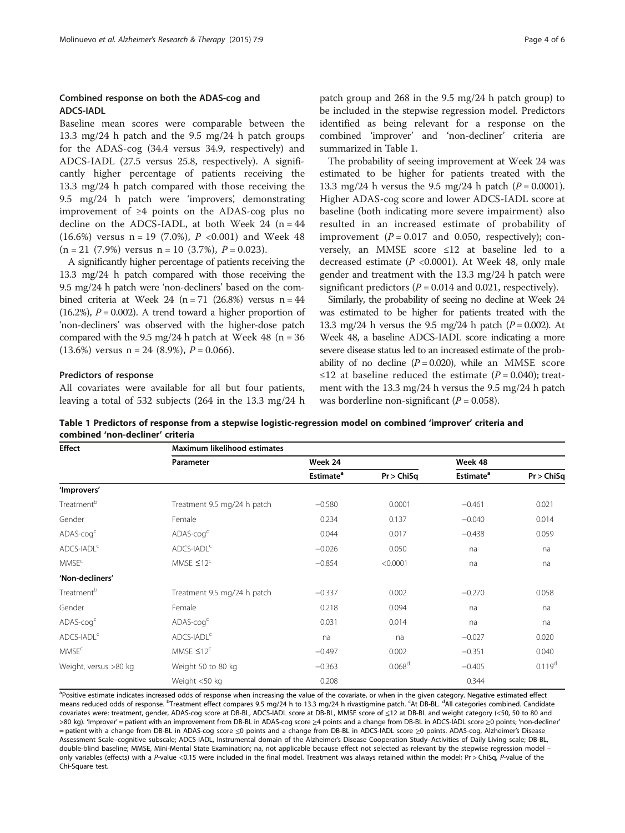### <span id="page-3-0"></span>Combined response on both the ADAS-cog and ADCS-IADL

Baseline mean scores were comparable between the 13.3 mg/24 h patch and the 9.5 mg/24 h patch groups for the ADAS-cog (34.4 versus 34.9, respectively) and ADCS-IADL (27.5 versus 25.8, respectively). A significantly higher percentage of patients receiving the 13.3 mg/24 h patch compared with those receiving the 9.5 mg/24 h patch were 'improvers', demonstrating improvement of ≥4 points on the ADAS-cog plus no decline on the ADCS-IADL, at both Week  $24$  (n =  $44$ ) (16.6%) versus  $n = 19$  (7.0%),  $P < 0.001$ ) and Week 48  $(n = 21 \ (7.9\%)$  versus  $n = 10 \ (3.7\%).$   $P = 0.023$ .

A significantly higher percentage of patients receiving the 13.3 mg/24 h patch compared with those receiving the 9.5 mg/24 h patch were 'non-decliners' based on the combined criteria at Week  $24$  (n = 71 (26.8%) versus n = 44 (16.2%),  $P = 0.002$ ). A trend toward a higher proportion of 'non-decliners' was observed with the higher-dose patch compared with the 9.5 mg/24 h patch at Week 48 ( $n = 36$ )  $(13.6\%)$  versus n = 24  $(8.9\%)$ , P = 0.066).

#### Predictors of response

All covariates were available for all but four patients, leaving a total of 532 subjects (264 in the 13.3 mg/24 h

Effect Maximum likelihood estimates

patch group and 268 in the 9.5 mg/24 h patch group) to be included in the stepwise regression model. Predictors identified as being relevant for a response on the combined 'improver' and 'non-decliner' criteria are summarized in Table 1.

The probability of seeing improvement at Week 24 was estimated to be higher for patients treated with the 13.3 mg/24 h versus the 9.5 mg/24 h patch  $(P = 0.0001)$ . Higher ADAS-cog score and lower ADCS-IADL score at baseline (both indicating more severe impairment) also resulted in an increased estimate of probability of improvement ( $P = 0.017$  and 0.050, respectively); conversely, an MMSE score ≤12 at baseline led to a decreased estimate ( $P < 0.0001$ ). At Week 48, only male gender and treatment with the 13.3 mg/24 h patch were significant predictors ( $P = 0.014$  and 0.021, respectively).

Similarly, the probability of seeing no decline at Week 24 was estimated to be higher for patients treated with the 13.3 mg/24 h versus the 9.5 mg/24 h patch ( $P = 0.002$ ). At Week 48, a baseline ADCS-IADL score indicating a more severe disease status led to an increased estimate of the probability of no decline  $(P = 0.020)$ , while an MMSE score ≤12 at baseline reduced the estimate ( $P = 0.040$ ); treatment with the 13.3 mg/24 h versus the 9.5 mg/24 h patch was borderline non-significant ( $P = 0.058$ ).

Table 1 Predictors of response from a stepwise logistic-regression model on combined 'improver' criteria and combined 'non-decliner' criteria

Parameter Week 24 Week 48

Estimate<sup>a</sup> Pr > ChiSq Estimate<sup>a</sup> Pr > ChiSq 'Improvers' Treatment<sup>b</sup> Treatment 9.5 mg/24 h patch −0.580 0.0001 −0.461 0.021 0.021 Gender Female Female 6.0234 0.137 −0.040 0.014  $\mathsf{ADAS\text{-}cog}^c$   $\mathsf{ADAS\text{-}cog}^c$  0.044 0.017  $\mathsf{ODA38}$  0.059 ADCS-IADL<sup>c</sup> ADCS-IADL<sup>c</sup> − −0.026 0.050 na na na na MMSE<sup>⊂</sup> and  $\text{MMSE} \leq 12^{\text{c}}$  and  $-0.854$  and  $\text{MMSE} \leq 0.0001$  and  $\text{MMSE} \leq 12^{\text{c}}$ 'Non-decliners' Treatment<sup>b</sup> Treatment 9.5 mg/24 h patch −0.337 0.002 −0.270 −0.270 0.058 Gender Female 0.218 0.094 na na ADAS-cogc ADAS-cogc 0.031 0.014 na na  $\mathsf{ADCS}\text{-}\mathsf{ADLS}\text{-}\mathsf{ADCS}\text{-}\mathsf{ADL}^{\mathsf{C}}$  and  $\mathsf{DOS}\text{-}\mathsf{ADL}^{\mathsf{C}}$  0.020 MMSE<sup>c</sup> −0.497 −0.497 0.002 −0.351 0.040 Weight, versus >80 kg Weight 50 to 80 kg −0.363 0.068<sup>d</sup> −0.405 0.119<sup>d</sup> Weight <50 kg 0.208 0.344 <sup>a</sup>Positive estimate indicates increased odds of response when increasing the value of the covariate, or when in the given category. Negative estimated effect means reduced odds of response. <sup>b</sup>Treatment effect compares 9.5 mg/24 h to 13.3 mg/24 h rivastigmine patch. <sup>c</sup>At DB-BL. <sup>d</sup>All categories combined. Candidate covariates were: treatment, gender, ADAS-cog score at DB-BL, ADCS-IADL score at DB-BL, MMSE score of ≤12 at DB-BL and weight category (<50, 50 to 80 and >80 kg). 'Improver' = patient with an improvement from DB-BL in ADAS-cog score ≥4 points and a change from DB-BL in ADCS-IADL score ≥0 points; 'non-decliner' = patient with a change from DB-BL in ADAS-cog score ≤0 points and a change from DB-BL in ADCS-IADL score ≥0 points. ADAS-cog, Alzheimer's Disease Assessment Scale–cognitive subscale; ADCS-IADL, Instrumental domain of the Alzheimer's Disease Cooperation Study–Activities of Daily Living scale; DB-BL, double-blind baseline; MMSE, Mini-Mental State Examination; na, not applicable because effect not selected as relevant by the stepwise regression model –

only variables (effects) with a P-value <0.15 were included in the final model. Treatment was always retained within the model; Pr > ChiSq, P-value of the Chi-Square test.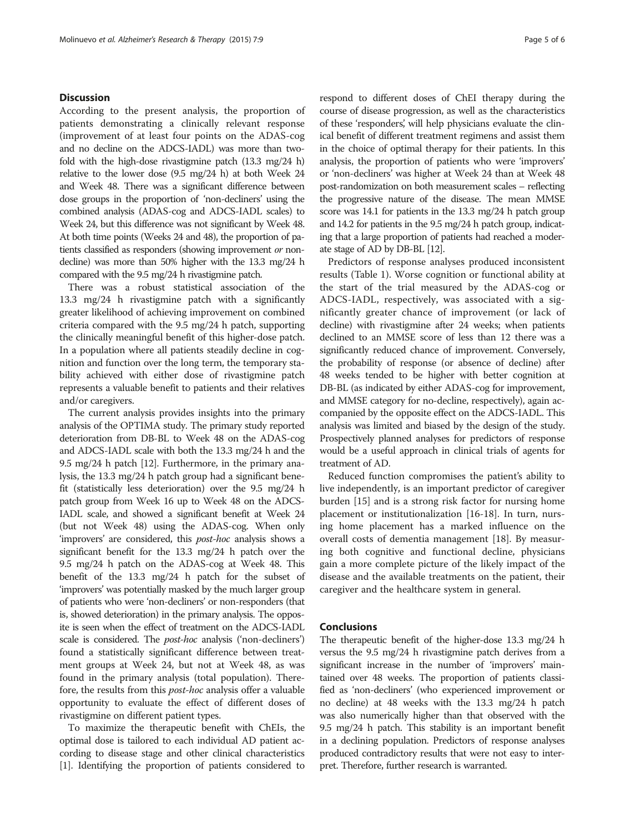#### **Discussion**

According to the present analysis, the proportion of patients demonstrating a clinically relevant response (improvement of at least four points on the ADAS-cog and no decline on the ADCS-IADL) was more than twofold with the high-dose rivastigmine patch (13.3 mg/24 h) relative to the lower dose (9.5 mg/24 h) at both Week 24 and Week 48. There was a significant difference between dose groups in the proportion of 'non-decliners' using the combined analysis (ADAS-cog and ADCS-IADL scales) to Week 24, but this difference was not significant by Week 48. At both time points (Weeks 24 and 48), the proportion of patients classified as responders (showing improvement or nondecline) was more than 50% higher with the 13.3 mg/24 h compared with the 9.5 mg/24 h rivastigmine patch.

There was a robust statistical association of the 13.3 mg/24 h rivastigmine patch with a significantly greater likelihood of achieving improvement on combined criteria compared with the 9.5 mg/24 h patch, supporting the clinically meaningful benefit of this higher-dose patch. In a population where all patients steadily decline in cognition and function over the long term, the temporary stability achieved with either dose of rivastigmine patch represents a valuable benefit to patients and their relatives and/or caregivers.

The current analysis provides insights into the primary analysis of the OPTIMA study. The primary study reported deterioration from DB-BL to Week 48 on the ADAS-cog and ADCS-IADL scale with both the 13.3 mg/24 h and the 9.5 mg/24 h patch [\[12](#page-5-0)]. Furthermore, in the primary analysis, the 13.3 mg/24 h patch group had a significant benefit (statistically less deterioration) over the 9.5 mg/24 h patch group from Week 16 up to Week 48 on the ADCS-IADL scale, and showed a significant benefit at Week 24 (but not Week 48) using the ADAS-cog. When only 'improvers' are considered, this post-hoc analysis shows a significant benefit for the 13.3 mg/24 h patch over the 9.5 mg/24 h patch on the ADAS-cog at Week 48. This benefit of the 13.3 mg/24 h patch for the subset of 'improvers' was potentially masked by the much larger group of patients who were 'non-decliners' or non-responders (that is, showed deterioration) in the primary analysis. The opposite is seen when the effect of treatment on the ADCS-IADL scale is considered. The *post-hoc* analysis ('non-decliners') found a statistically significant difference between treatment groups at Week 24, but not at Week 48, as was found in the primary analysis (total population). Therefore, the results from this *post-hoc* analysis offer a valuable opportunity to evaluate the effect of different doses of rivastigmine on different patient types.

To maximize the therapeutic benefit with ChEIs, the optimal dose is tailored to each individual AD patient according to disease stage and other clinical characteristics [[1](#page-5-0)]. Identifying the proportion of patients considered to

respond to different doses of ChEI therapy during the course of disease progression, as well as the characteristics of these 'responders', will help physicians evaluate the clinical benefit of different treatment regimens and assist them in the choice of optimal therapy for their patients. In this analysis, the proportion of patients who were 'improvers' or 'non-decliners' was higher at Week 24 than at Week 48 post-randomization on both measurement scales – reflecting the progressive nature of the disease. The mean MMSE score was 14.1 for patients in the 13.3 mg/24 h patch group and 14.2 for patients in the 9.5 mg/24 h patch group, indicating that a large proportion of patients had reached a moderate stage of AD by DB-BL [\[12](#page-5-0)].

Predictors of response analyses produced inconsistent results (Table [1\)](#page-3-0). Worse cognition or functional ability at the start of the trial measured by the ADAS-cog or ADCS-IADL, respectively, was associated with a significantly greater chance of improvement (or lack of decline) with rivastigmine after 24 weeks; when patients declined to an MMSE score of less than 12 there was a significantly reduced chance of improvement. Conversely, the probability of response (or absence of decline) after 48 weeks tended to be higher with better cognition at DB-BL (as indicated by either ADAS-cog for improvement, and MMSE category for no-decline, respectively), again accompanied by the opposite effect on the ADCS-IADL. This analysis was limited and biased by the design of the study. Prospectively planned analyses for predictors of response would be a useful approach in clinical trials of agents for treatment of AD.

Reduced function compromises the patient's ability to live independently, is an important predictor of caregiver burden [\[15](#page-5-0)] and is a strong risk factor for nursing home placement or institutionalization [[16-18\]](#page-5-0). In turn, nursing home placement has a marked influence on the overall costs of dementia management [[18](#page-5-0)]. By measuring both cognitive and functional decline, physicians gain a more complete picture of the likely impact of the disease and the available treatments on the patient, their caregiver and the healthcare system in general.

#### **Conclusions**

The therapeutic benefit of the higher-dose 13.3 mg/24 h versus the 9.5 mg/24 h rivastigmine patch derives from a significant increase in the number of 'improvers' maintained over 48 weeks. The proportion of patients classified as 'non-decliners' (who experienced improvement or no decline) at 48 weeks with the 13.3 mg/24 h patch was also numerically higher than that observed with the 9.5 mg/24 h patch. This stability is an important benefit in a declining population. Predictors of response analyses produced contradictory results that were not easy to interpret. Therefore, further research is warranted.